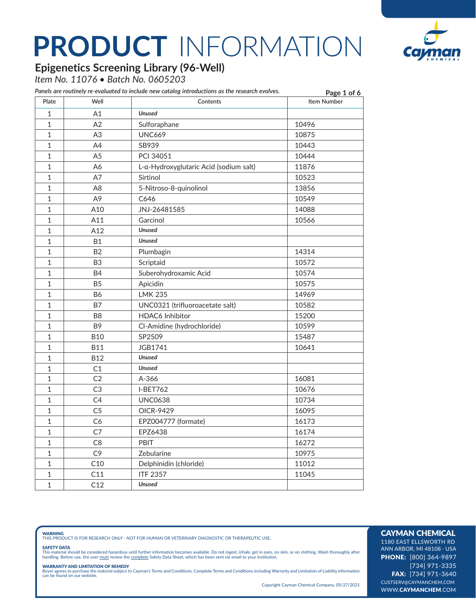

### **Epigenetics Screening Library (96-Well)**

*Item No. 11076 • Batch No. 0605203*

|                |                | Panels are routinely re-evaluated to include new catalog introductions as the research evolves. | Page 1 of 6        |
|----------------|----------------|-------------------------------------------------------------------------------------------------|--------------------|
| Plate          | Well           | Contents                                                                                        | <b>Item Number</b> |
| $\mathbf{1}$   | A1             | <b>Unused</b>                                                                                   |                    |
| $\mathbf{1}$   | A2             | Sulforaphane                                                                                    | 10496              |
| 1              | A <sub>3</sub> | <b>UNC669</b>                                                                                   | 10875              |
| 1              | A4             | SB939                                                                                           | 10443              |
| $\mathbf{1}$   | A <sub>5</sub> | PCI 34051                                                                                       | 10444              |
| $\mathbf{1}$   | A6             | L-a-Hydroxyglutaric Acid (sodium salt)                                                          | 11876              |
| $\mathbf{1}$   | A7             | Sirtinol                                                                                        | 10523              |
| 1              | A <sub>8</sub> | 5-Nitroso-8-quinolinol                                                                          | 13856              |
| $\mathbf{1}$   | A <sub>9</sub> | C646                                                                                            | 10549              |
| $\mathbf{1}$   | A10            | JNJ-26481585                                                                                    | 14088              |
| $\mathbf{1}$   | A11            | Garcinol                                                                                        | 10566              |
| $\mathbf{1}$   | A12            | <b>Unused</b>                                                                                   |                    |
| $\mathbf{1}$   | <b>B1</b>      | <b>Unused</b>                                                                                   |                    |
| $\mathbf{1}$   | <b>B2</b>      | Plumbagin                                                                                       | 14314              |
| $\mathbf{1}$   | B <sub>3</sub> | Scriptaid                                                                                       | 10572              |
| $\mathbf{1}$   | <b>B4</b>      | Suberohydroxamic Acid                                                                           | 10574              |
| $\mathbf{1}$   | <b>B5</b>      | Apicidin                                                                                        | 10575              |
| $\mathbf{1}$   | <b>B6</b>      | <b>LMK 235</b>                                                                                  | 14969              |
| $\mathbf{1}$   | <b>B7</b>      | UNC0321 (trifluoroacetate salt)                                                                 | 10582              |
| 1              | B <sub>8</sub> | <b>HDAC6</b> Inhibitor                                                                          | 15200              |
| $\mathbf{1}$   | B <sub>9</sub> | Cl-Amidine (hydrochloride)                                                                      | 10599              |
| $\mathbf{1}$   | <b>B10</b>     | SP2509                                                                                          | 15487              |
| $\mathbf{1}$   | <b>B11</b>     | JGB1741                                                                                         | 10641              |
| $\mathbf{1}$   | <b>B12</b>     | <b>Unused</b>                                                                                   |                    |
| $\overline{1}$ | C1             | <b>Unused</b>                                                                                   |                    |
| $\mathbf{1}$   | C <sub>2</sub> | A-366                                                                                           | 16081              |
| $\mathbf{1}$   | C3             | I-BET762                                                                                        | 10676              |
| $\mathbf{1}$   | C <sub>4</sub> | <b>UNC0638</b>                                                                                  | 10734              |
| $\mathbf{1}$   | C <sub>5</sub> | OICR-9429                                                                                       | 16095              |
| 1              | C6             | EPZ004777 (formate)                                                                             | 16173              |
| $\mathbf{1}$   | C7             | EPZ6438                                                                                         | 16174              |
| 1              | C <sub>8</sub> | PBIT                                                                                            | 16272              |
| 1              | C <sub>9</sub> | Zebularine                                                                                      | 10975              |
| $\mathbf{1}$   | C10            | Delphinidin (chloride)                                                                          | 11012              |
| 1              | C11            | <b>ITF 2357</b>                                                                                 | 11045              |
| $\overline{1}$ | C12            | <b>Unused</b>                                                                                   |                    |

**WARNING**<br>THIS PRODUCT IS FOR RESEARCH ONLY - NOT FOR HUMAN OR VETERINARY DIAGNOSTIC OR THERAPEUTIC USE.

#### SAFETY DATA

This material should be considered hazardous until further information becomes available. Do not ingest, inhale, get in eyes, on skin, or on clothing. Wash thoroughly after<br>handling. Before use, the user must review the co

**WARRANTY AND LIMITATION OF REMEDY**<br>Buyer agrees to purchase the material subject to Cayman's Terms and Conditions. Complete Terms and Conditions including Warranty and Limitation of Liability information<br>can be found on o

Copyright Cayman Chemical Company, 05/27/2021

### CAYMAN CHEMICAL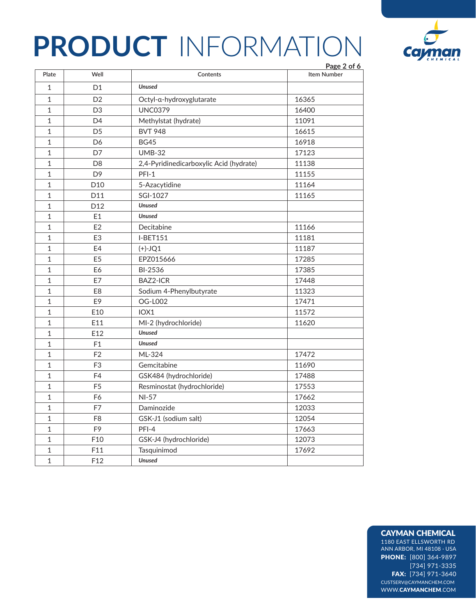

|              |                 |                                         | Page 2 of 6 |
|--------------|-----------------|-----------------------------------------|-------------|
| Plate        | Well            | Contents                                | Item Number |
| $\mathbf 1$  | D <sub>1</sub>  | <b>Unused</b>                           |             |
| 1            | D <sub>2</sub>  | Octyl-a-hydroxyglutarate                | 16365       |
| $\mathbf{1}$ | D <sub>3</sub>  | <b>UNC0379</b>                          | 16400       |
| $\mathbf 1$  | D <sub>4</sub>  | Methylstat (hydrate)                    | 11091       |
| $\mathbf 1$  | D <sub>5</sub>  | <b>BVT 948</b>                          | 16615       |
| $\mathbf 1$  | D <sub>6</sub>  | <b>BG45</b>                             | 16918       |
| $\mathbf 1$  | D7              | <b>UMB-32</b>                           | 17123       |
| 1            | D <sub>8</sub>  | 2,4-Pyridinedicarboxylic Acid (hydrate) | 11138       |
| $\mathbf{1}$ | D <sub>9</sub>  | $PFI-1$                                 | 11155       |
| $\mathbf{1}$ | D <sub>10</sub> | 5-Azacytidine                           | 11164       |
| $\mathbf{1}$ | D11             | SGI-1027                                | 11165       |
| 1            | D <sub>12</sub> | <b>Unused</b>                           |             |
| $\mathbf{1}$ | E1              | <b>Unused</b>                           |             |
| $\mathbf{1}$ | E2              | Decitabine                              | 11166       |
| $\mathbf{1}$ | E <sub>3</sub>  | <b>I-BET151</b>                         | 11181       |
| 1            | E4              | $(+)-JQ1$                               | 11187       |
| $\mathbf{1}$ | E <sub>5</sub>  | EPZ015666                               | 17285       |
| $\mathbf{1}$ | E6              | BI-2536                                 | 17385       |
| $\mathbf{1}$ | E7              | BAZ2-ICR                                | 17448       |
| 1            | E <sub>8</sub>  | Sodium 4-Phenylbutyrate                 | 11323       |
| $\mathbf{1}$ | E9              | <b>OG-L002</b>                          | 17471       |
| $\mathbf{1}$ | E10             | IOX1                                    | 11572       |
| 1            | E11             | MI-2 (hydrochloride)                    | 11620       |
| $\mathbf{1}$ | E12             | <b>Unused</b>                           |             |
| $\mathbf{1}$ | F <sub>1</sub>  | <b>Unused</b>                           |             |
| $\mathbf{1}$ | F <sub>2</sub>  | ML-324                                  | 17472       |
| $\mathbf{1}$ | F <sub>3</sub>  | Gemcitabine                             | 11690       |
| 1            | F <sub>4</sub>  | GSK484 (hydrochloride)                  | 17488       |
| $\mathbf{1}$ | F <sub>5</sub>  | Resminostat (hydrochloride)             | 17553       |
| 1            | F6              | <b>NI-57</b>                            | 17662       |
| $\mathbf 1$  | F7              | Daminozide                              | 12033       |
| $\mathbf{1}$ | F <sub>8</sub>  | GSK-J1 (sodium salt)                    | 12054       |
| $\mathbf 1$  | F9              | PFI-4                                   | 17663       |
| $\mathbf 1$  | F10             | GSK-J4 (hydrochloride)                  | 12073       |
| 1            | F11             | Tasquinimod                             | 17692       |
| $\mathbf{1}$ | F12             | <b>Unused</b>                           |             |

### CAYMAN CHEMICAL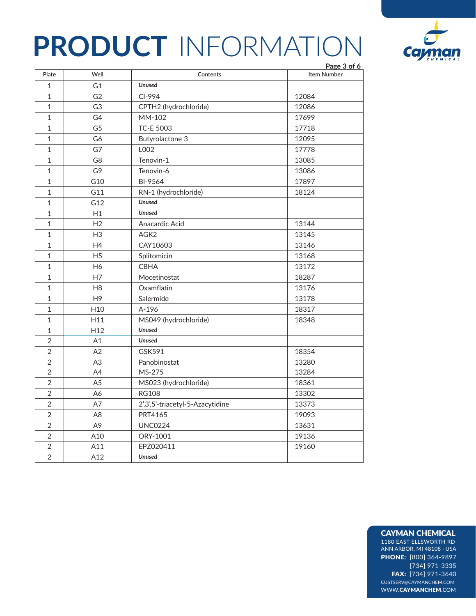

|                |                 |                                  | Page 3 of 6        |
|----------------|-----------------|----------------------------------|--------------------|
| Plate          | Well            | Contents                         | <b>Item Number</b> |
| $\mathbf 1$    | G1              | <b>Unused</b>                    |                    |
| $\mathbf 1$    | G <sub>2</sub>  | CI-994                           | 12084              |
| $\mathbf 1$    | G <sub>3</sub>  | CPTH2 (hydrochloride)            | 12086              |
| $\mathbf 1$    | G4              | MM-102                           | 17699              |
| $\mathbf 1$    | G <sub>5</sub>  | <b>TC-E 5003</b>                 | 17718              |
| $\mathbf{1}$   | G6              | Butyrolactone 3                  | 12095              |
| $\mathbf 1$    | G7              | L002                             | 17778              |
| $\mathbf 1$    | G8              | Tenovin-1                        | 13085              |
| $\mathbf 1$    | G9              | Tenovin-6                        | 13086              |
| $\mathbf 1$    | G10             | BI-9564                          | 17897              |
| $\mathbf 1$    | G11             | RN-1 (hydrochloride)             | 18124              |
| $\mathbf 1$    | G12             | <b>Unused</b>                    |                    |
| $\mathbf{1}$   | H1              | <b>Unused</b>                    |                    |
| $\mathbf 1$    | H <sub>2</sub>  | Anacardic Acid                   | 13144              |
| $\mathbf{1}$   | H <sub>3</sub>  | AGK <sub>2</sub>                 | 13145              |
| $\mathbf 1$    | H4              | CAY10603                         | 13146              |
| $\mathbf{1}$   | H <sub>5</sub>  | Splitomicin                      | 13168              |
| $\mathbf 1$    | H <sub>6</sub>  | <b>CBHA</b>                      | 13172              |
| $\mathbf{1}$   | H7              | Mocetinostat                     | 18287              |
| $\mathbf{1}$   | H <sub>8</sub>  | Oxamflatin                       | 13176              |
| $\mathbf 1$    | H <sub>9</sub>  | Salermide                        | 13178              |
| $\mathbf{1}$   | H <sub>10</sub> | A-196                            | 18317              |
| $\mathbf 1$    | H11             | MS049 (hydrochloride)            | 18348              |
| $\mathbf{1}$   | H <sub>12</sub> | <b>Unused</b>                    |                    |
| $\overline{2}$ | A1              | <b>Unused</b>                    |                    |
| $\overline{2}$ | A <sub>2</sub>  | GSK591                           | 18354              |
| $\sqrt{2}$     | A <sub>3</sub>  | Panobinostat                     | 13280              |
| $\overline{2}$ | A4              | MS-275                           | 13284              |
| $\overline{2}$ | A5              | MS023 (hydrochloride)            | 18361              |
| $\overline{2}$ | A6              | <b>RG108</b>                     | 13302              |
| $\overline{2}$ | A7              | 2',3',5'-triacetyl-5-Azacytidine | 13373              |
| $\overline{2}$ | A <sub>8</sub>  | PRT4165                          | 19093              |
| $\overline{2}$ | A <sub>9</sub>  | <b>UNC0224</b>                   | 13631              |
| $\overline{2}$ | A10             | ORY-1001                         | 19136              |
| $\overline{2}$ | A11             | EPZ020411                        | 19160              |
| $\overline{2}$ | A12             | <b>Unused</b>                    |                    |

#### CAYMAN CHEMICAL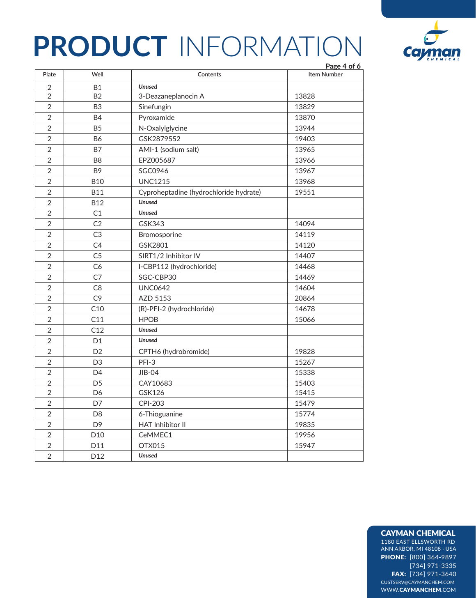

|                |                 |                                        | Page 4 of 6        |
|----------------|-----------------|----------------------------------------|--------------------|
| Plate          | Well            | Contents                               | <b>Item Number</b> |
| $\overline{2}$ | <b>B1</b>       | <b>Unused</b>                          |                    |
| $\sqrt{2}$     | <b>B2</b>       | 3-Deazaneplanocin A                    | 13828              |
| $\overline{2}$ | B <sub>3</sub>  | Sinefungin                             | 13829              |
| $\overline{2}$ | <b>B4</b>       | Pyroxamide                             | 13870              |
| $\overline{2}$ | B <sub>5</sub>  | N-Oxalylglycine                        | 13944              |
| $\overline{2}$ | <b>B6</b>       | GSK2879552                             | 19403              |
| $\sqrt{2}$     | <b>B7</b>       | AMI-1 (sodium salt)                    | 13965              |
| $\overline{2}$ | B <sub>8</sub>  | EPZ005687                              | 13966              |
| $\overline{2}$ | B <sub>9</sub>  | SGC0946                                | 13967              |
| $\overline{2}$ | <b>B10</b>      | <b>UNC1215</b>                         | 13968              |
| $\overline{2}$ | <b>B11</b>      | Cyproheptadine (hydrochloride hydrate) | 19551              |
| $\overline{2}$ | <b>B12</b>      | <b>Unused</b>                          |                    |
| $\overline{2}$ | C1              | <b>Unused</b>                          |                    |
| $\overline{2}$ | C <sub>2</sub>  | GSK343                                 | 14094              |
| $\overline{2}$ | C <sub>3</sub>  | Bromosporine                           | 14119              |
| $\overline{2}$ | C4              | GSK2801                                | 14120              |
| $\overline{2}$ | C <sub>5</sub>  | SIRT1/2 Inhibitor IV                   | 14407              |
| $\overline{2}$ | C6              | I-CBP112 (hydrochloride)               | 14468              |
| $\overline{2}$ | C <sub>7</sub>  | SGC-CBP30                              | 14469              |
| $\sqrt{2}$     | C <sub>8</sub>  | <b>UNC0642</b>                         | 14604              |
| $\overline{2}$ | C <sub>9</sub>  | AZD 5153                               | 20864              |
| $\overline{2}$ | C10             | (R)-PFI-2 (hydrochloride)              | 14678              |
| $\overline{2}$ | C11             | <b>HPOB</b>                            | 15066              |
| $\overline{2}$ | C12             | <b>Unused</b>                          |                    |
| $\overline{2}$ | D <sub>1</sub>  | <b>Unused</b>                          |                    |
| $\overline{2}$ | D <sub>2</sub>  | CPTH6 (hydrobromide)                   | 19828              |
| $\overline{2}$ | D <sub>3</sub>  | PFI-3                                  | 15267              |
| $\sqrt{2}$     | D <sub>4</sub>  | JIB-04                                 | 15338              |
| $\overline{2}$ | D <sub>5</sub>  | CAY10683                               | 15403              |
| $\overline{2}$ | D <sub>6</sub>  | GSK126                                 | 15415              |
| $\overline{2}$ | D7              | <b>CPI-203</b>                         | 15479              |
| $\overline{2}$ | D <sub>8</sub>  | 6-Thioguanine                          | 15774              |
| $\overline{2}$ | D <sub>9</sub>  | <b>HAT Inhibitor II</b>                | 19835              |
| $\overline{2}$ | D <sub>10</sub> | CeMMEC1                                | 19956              |
| $\overline{2}$ | D11             | OTX015                                 | 15947              |
| $\overline{2}$ | D <sub>12</sub> | <b>Unused</b>                          |                    |

### CAYMAN CHEMICAL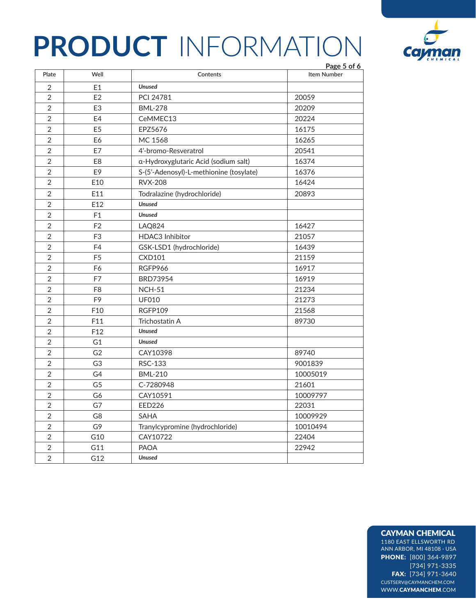

|                |                 |                                         | Page 5 of 6        |
|----------------|-----------------|-----------------------------------------|--------------------|
| Plate          | Well            | Contents                                | <b>Item Number</b> |
| $\overline{2}$ | E1              | <b>Unused</b>                           |                    |
| $\overline{2}$ | E2              | PCI 24781                               | 20059              |
| $\overline{2}$ | E <sub>3</sub>  | <b>BML-278</b>                          | 20209              |
| $\overline{2}$ | E4              | CeMMEC13                                | 20224              |
| $\overline{2}$ | E <sub>5</sub>  | EPZ5676                                 | 16175              |
| $\overline{2}$ | E6              | MC 1568                                 | 16265              |
| $\overline{2}$ | E7              | 4'-bromo-Resveratrol                    | 20541              |
| $\overline{2}$ | E <sub>8</sub>  | a-Hydroxyglutaric Acid (sodium salt)    | 16374              |
| $\overline{2}$ | E9              | S-(5'-Adenosyl)-L-methionine (tosylate) | 16376              |
| $\overline{2}$ | E10             | <b>RVX-208</b>                          | 16424              |
| $\overline{2}$ | E11             | Todralazine (hydrochloride)             | 20893              |
| $\overline{2}$ | E12             | <b>Unused</b>                           |                    |
| $\overline{2}$ | F <sub>1</sub>  | <b>Unused</b>                           |                    |
| $\overline{2}$ | F <sub>2</sub>  | LAQ824                                  | 16427              |
| $\overline{2}$ | F <sub>3</sub>  | <b>HDAC3</b> Inhibitor                  | 21057              |
| $\overline{2}$ | F4              | GSK-LSD1 (hydrochloride)                | 16439              |
| $\overline{2}$ | F <sub>5</sub>  | <b>CXD101</b>                           | 21159              |
| $\overline{2}$ | F6              | RGFP966                                 | 16917              |
| $\overline{2}$ | F7              | BRD73954                                | 16919              |
| $\overline{2}$ | F <sub>8</sub>  | <b>NCH-51</b>                           | 21234              |
| $\overline{2}$ | F <sub>9</sub>  | <b>UF010</b>                            | 21273              |
| $\overline{2}$ | F10             | <b>RGFP109</b>                          | 21568              |
| $\overline{2}$ | F11             | Trichostatin A                          | 89730              |
| $\overline{2}$ | F <sub>12</sub> | <b>Unused</b>                           |                    |
| $\overline{2}$ | G <sub>1</sub>  | <b>Unused</b>                           |                    |
| $\overline{2}$ | G <sub>2</sub>  | CAY10398                                | 89740              |
| $\overline{2}$ | G <sub>3</sub>  | RSC-133                                 | 9001839            |
| $\overline{2}$ | G4              | <b>BML-210</b>                          | 10005019           |
| $\overline{2}$ | G <sub>5</sub>  | C-7280948                               | 21601              |
| $\overline{2}$ | G6              | CAY10591                                | 10009797           |
| $\overline{2}$ | G7              | <b>EED226</b>                           | 22031              |
| $\overline{2}$ | G8              | <b>SAHA</b>                             | 10009929           |
| $\sqrt{2}$     | G9              | Tranylcypromine (hydrochloride)         | 10010494           |
| $\overline{2}$ | G10             | CAY10722                                | 22404              |
| $\overline{2}$ | G11             | <b>PAOA</b>                             | 22942              |
| $\overline{2}$ | G12             | <b>Unused</b>                           |                    |

#### CAYMAN CHEMICAL